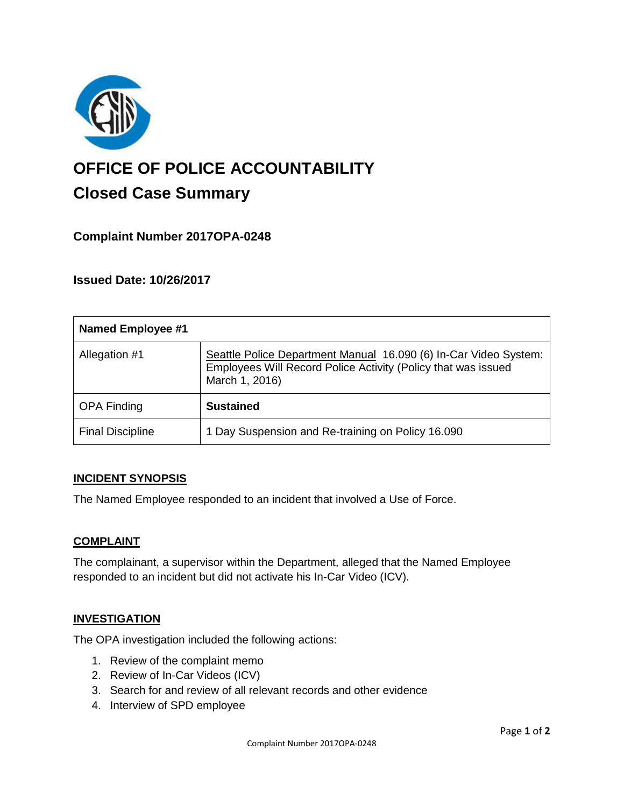

# **OFFICE OF POLICE ACCOUNTABILITY**

# **Closed Case Summary**

# **Complaint Number 2017OPA-0248**

# **Issued Date: 10/26/2017**

| <b>Named Employee #1</b> |                                                                                                                                                     |
|--------------------------|-----------------------------------------------------------------------------------------------------------------------------------------------------|
| Allegation #1            | Seattle Police Department Manual 16.090 (6) In-Car Video System:<br>Employees Will Record Police Activity (Policy that was issued<br>March 1, 2016) |
| <b>OPA Finding</b>       | <b>Sustained</b>                                                                                                                                    |
| <b>Final Discipline</b>  | 1 Day Suspension and Re-training on Policy 16.090                                                                                                   |

## **INCIDENT SYNOPSIS**

The Named Employee responded to an incident that involved a Use of Force.

## **COMPLAINT**

The complainant, a supervisor within the Department, alleged that the Named Employee responded to an incident but did not activate his In-Car Video (ICV).

#### **INVESTIGATION**

The OPA investigation included the following actions:

- 1. Review of the complaint memo
- 2. Review of In-Car Videos (ICV)
- 3. Search for and review of all relevant records and other evidence
- 4. Interview of SPD employee